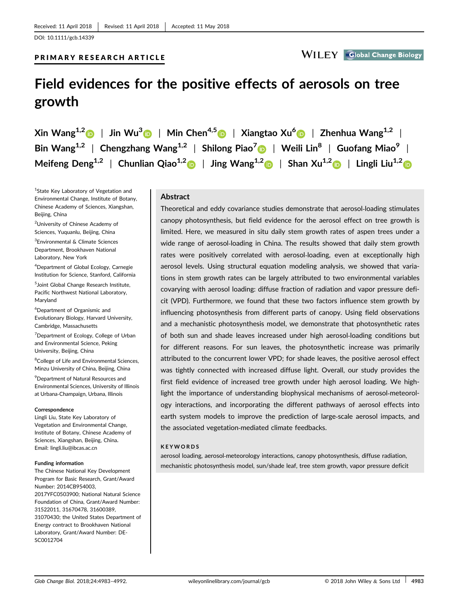# PRIMARY RESEARCH ARTICLE

# **Field evidences for the positive effects of aerosols on tree growth**

 $\chi$ in Wang<sup>1,[2](http://orcid.org/0000-0002-5274-7566)</sup> | **Jin Wu<sup>3</sup> | Min Chen<sup>4,5</sup> |**  $\chi$ **iangtao Xu<sup>[6](https://orcid.org/0000-0002-9402-9474)</sup> | <b>Zhenhua Wang**<sup>1,2</sup> | **Bin Wang1,2** | **Chengzhang Wang1,2** | **Shilong Piao<sup>7</sup>** | **Weili Lin<sup>8</sup>** | **Guofang Miao<sup>9</sup>** | **Meifeng Deng1,2** | **Chunlian Qiao1,[2](http://orcid.org/0000-0002-7396-4797)** | **Jing Wang1,2** | **Shan Xu1,2** | **Lingli Liu1,[2](http://orcid.org/0000-0002-5696-3151)**

<sup>1</sup>State Key Laboratory of Vegetation and Environmental Change, Institute of Botany, Chinese Academy of Sciences, Xiangshan, Beijing, China

<sup>2</sup>University of Chinese Academy of Sciences, Yuquanlu, Beijing, China

3 Environmental & Climate Sciences Department, Brookhaven National Laboratory, New York

4 Department of Global Ecology, Carnegie Institution for Science, Stanford, California

5 Joint Global Change Research Institute, Pacific Northwest National Laboratory, Maryland

6 Department of Organismic and Evolutionary Biology, Harvard University, Cambridge, Massachusetts

<sup>7</sup>Department of Ecology, College of Urban and Environmental Science, Peking University, Beijing, China

<sup>8</sup>College of Life and Environmental Sciences, Minzu University of China, Beijing, China

9 Department of Natural Resources and Environmental Sciences, University of Illinois at Urbana‐Champaign, Urbana, Illinois

#### **Correspondence**

Lingli Liu, State Key Laboratory of Vegetation and Environmental Change, Institute of Botany, Chinese Academy of Sciences, Xiangshan, Beijing, China**.** Email: lingli.liu@ibcas.ac.cn

#### **Funding information**

The Chinese National Key Development Program for Basic Research, Grant/Award Number: 2014CB954003, 2017YFC0503900; National Natural Science Foundation of China, Grant/Award Number: 31522011, 31670478, 31600389, 31070430; the United States Department of Energy contract to Brookhaven National Laboratory, Grant/Award Number: DE-SC0012704

#### **Abstract**

Theoretical and eddy covariance studies demonstrate that aerosol‐loading stimulates canopy photosynthesis, but field evidence for the aerosol effect on tree growth is limited. Here, we measured in situ daily stem growth rates of aspen trees under a wide range of aerosol‐loading in China. The results showed that daily stem growth rates were positively correlated with aerosol-loading, even at exceptionally high aerosol levels. Using structural equation modeling analysis, we showed that variations in stem growth rates can be largely attributed to two environmental variables covarying with aerosol loading: diffuse fraction of radiation and vapor pressure deficit (VPD). Furthermore, we found that these two factors influence stem growth by influencing photosynthesis from different parts of canopy. Using field observations and a mechanistic photosynthesis model, we demonstrate that photosynthetic rates of both sun and shade leaves increased under high aerosol‐loading conditions but for different reasons. For sun leaves, the photosynthetic increase was primarily attributed to the concurrent lower VPD; for shade leaves, the positive aerosol effect was tightly connected with increased diffuse light. Overall, our study provides the first field evidence of increased tree growth under high aerosol loading. We highlight the importance of understanding biophysical mechanisms of aerosol‐meteorology interactions, and incorporating the different pathways of aerosol effects into earth system models to improve the prediction of large‐scale aerosol impacts, and the associated vegetation‐mediated climate feedbacks.

#### **KEYWORDS**

aerosol loading, aerosol‐meteorology interactions, canopy photosynthesis, diffuse radiation, mechanistic photosynthesis model, sun/shade leaf, tree stem growth, vapor pressure deficit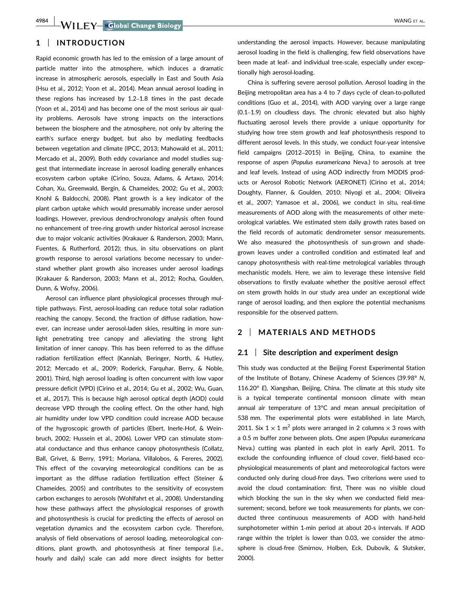# **1** | **INTRODUCTION**

Rapid economic growth has led to the emission of a large amount of particle matter into the atmosphere, which induces a dramatic increase in atmospheric aerosols, especially in East and South Asia (Hsu et al., 2012; Yoon et al., 2014). Mean annual aerosol loading in these regions has increased by 1.2–1.8 times in the past decade (Yoon et al., 2014) and has become one of the most serious air quality problems. Aerosols have strong impacts on the interactions between the biosphere and the atmosphere, not only by altering the earth's surface energy budget, but also by mediating feedbacks between vegetation and climate (IPCC, 2013; Mahowald et al., 2011; Mercado et al., 2009). Both eddy covariance and model studies suggest that intermediate increase in aerosol loading generally enhances ecosystem carbon uptake (Cirino, Souza, Adams, & Artaxo, 2014; Cohan, Xu, Greenwald, Bergin, & Chameides, 2002; Gu et al., 2003; Knohl & Baldocchi, 2008). Plant growth is a key indicator of the plant carbon uptake which would presumably increase under aerosol loadings. However, previous dendrochronology analysis often found no enhancement of tree‐ring growth under historical aerosol increase due to major volcanic activities (Krakauer & Randerson, 2003; Mann, Fuentes, & Rutherford, 2012); thus, in situ observations on plant growth response to aerosol variations become necessary to understand whether plant growth also increases under aerosol loadings (Krakauer & Randerson, 2003; Mann et al., 2012; Rocha, Goulden, Dunn, & Wofsy, 2006).

Aerosol can influence plant physiological processes through multiple pathways. First, aerosol‐loading can reduce total solar radiation reaching the canopy. Second, the fraction of diffuse radiation, however, can increase under aerosol-laden skies, resulting in more sunlight penetrating tree canopy and alleviating the strong light limitation of inner canopy. This has been referred to as the diffuse radiation fertilization effect (Kanniah, Beringer, North, & Hutley, 2012; Mercado et al., 2009; Roderick, Farquhar, Berry, & Noble, 2001). Third, high aerosol loading is often concurrent with low vapor pressure deficit (VPD) (Cirino et al., 2014; Gu et al., 2002; Wu, Guan, et al., 2017). This is because high aerosol optical depth (AOD) could decrease VPD through the cooling effect. On the other hand, high air humidity under low VPD condition could increase AOD because of the hygroscopic growth of particles (Ebert, Inerle‐Hof, & Weinbruch, 2002; Hussein et al., 2006). Lower VPD can stimulate stomatal conductance and thus enhance canopy photosynthesis (Collatz, Ball, Grivet, & Berry, 1991; Moriana, Villalobos, & Fereres, 2002). This effect of the covarying meteorological conditions can be as important as the diffuse radiation fertilization effect (Steiner & Chameides, 2005) and contributes to the sensitivity of ecosystem carbon exchanges to aerosols (Wohlfahrt et al., 2008). Understanding how these pathways affect the physiological responses of growth and photosynthesis is crucial for predicting the effects of aerosol on vegetation dynamics and the ecosystem carbon cycle. Therefore, analysis of field observations of aerosol loading, meteorological conditions, plant growth, and photosynthesis at finer temporal (i.e., hourly and daily) scale can add more direct insights for better

understanding the aerosol impacts. However, because manipulating aerosol loading in the field is challenging, few field observations have been made at leaf- and individual tree-scale, especially under exceptionally high aerosol-loading.

China is suffering severe aerosol pollution. Aerosol loading in the Beijing metropolitan area has a 4 to 7 days cycle of clean‐to‐polluted conditions (Guo et al., 2014), with AOD varying over a large range (0.1–1.9) on cloudless days. The chronic elevated but also highly fluctuating aerosol levels there provide a unique opportunity for studying how tree stem growth and leaf photosynthesis respond to different aerosol levels. In this study, we conduct four‐year intensive field campaigns (2012–2015) in Beijing, China, to examine the response of aspen (*Populus euramericana* Neva.) to aerosols at tree and leaf levels. Instead of using AOD indirectly from MODIS products or Aerosol Robotic Network (AERONET) (Cirino et al., 2014; Doughty, Flanner, & Goulden, 2010; Niyogi et al., 2004; Oliveira et al., 2007; Yamasoe et al., 2006), we conduct in situ, real‐time measurements of AOD along with the measurements of other meteorological variables. We estimated stem daily growth rates based on the field records of automatic dendrometer sensor measurements. We also measured the photosynthesis of sun-grown and shadegrown leaves under a controlled condition and estimated leaf and canopy photosynthesis with real-time metrological variables through mechanistic models. Here, we aim to leverage these intensive field observations to firstly evaluate whether the positive aerosol effect on stem growth holds in our study area under an exceptional wide range of aerosol loading, and then explore the potential mechanisms responsible for the observed pattern.

# **2** | **MATERIALS AND METHODS**

#### **2.1** | **Site description and experiment design**

This study was conducted at the Beijing Forest Experimental Station of the Institute of Botany, Chinese Academy of Sciences (39.98° *N*, 116.20° *E*), Xiangshan, Beijing, China. The climate at this study site is a typical temperate continental monsoon climate with mean annual air temperature of 13°C and mean annual precipitation of 538 mm. The experimental plots were established in late March, 2011. Six  $1 \times 1$  m<sup>2</sup> plots were arranged in 2 columns  $\times$  3 rows with a 0.5 m buffer zone between plots. One aspen (*Populus euramericana* Neva.) cutting was planted in each plot in early April, 2011. To exclude the confounding influence of cloud cover, field‐based ecophysiological measurements of plant and meteorological factors were conducted only during cloud‐free days. Two criterions were used to avoid the cloud contamination: first, There was no visible cloud which blocking the sun in the sky when we conducted field measurement; second, before we took measurements for plants, we conducted three continuous measurements of AOD with hand‐held sunphotometer within 1-min period at about 20-s intervals. If AOD range within the triplet is lower than 0.03, we consider the atmosphere is cloud‐free (Smirnov, Holben, Eck, Dubovik, & Slutsker, 2000).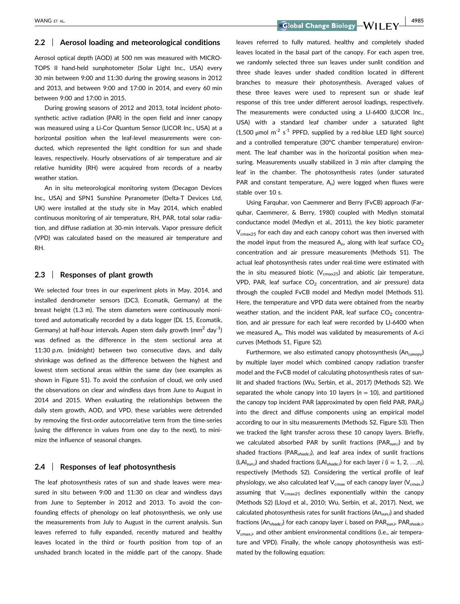WANG ET AL. 4985<br> **Coloral Change Biology — WILEY** 

#### **2.2** | **Aerosol loading and meteorological conditions**

Aerosol optical depth (AOD) at 500 nm was measured with MICRO-TOPS II hand‐held sunphotometer (Solar Light Inc., USA) every 30 min between 9:00 and 11:30 during the growing seasons in 2012 and 2013, and between 9:00 and 17:00 in 2014, and every 60 min between 9:00 and 17:00 in 2015.

During growing seasons of 2012 and 2013, total incident photosynthetic active radiation (PAR) in the open field and inner canopy was measured using a Li‐Cor Quantum Sensor (LICOR Inc., USA) at a horizontal position when the leaf-level measurements were conducted, which represented the light condition for sun and shade leaves, respectively. Hourly observations of air temperature and air relative humidity (RH) were acquired from records of a nearby weather station.

An in situ meteorological monitoring system (Decagon Devices Inc., USA) and SPN1 Sunshine Pyranometer (Delta-T Devices Ltd, UK) were installed at the study site in May 2014, which enabled continuous monitoring of air temperature, RH, PAR, total solar radiation, and diffuse radiation at 30‐min intervals. Vapor pressure deficit (VPD) was calculated based on the measured air temperature and RH.

#### **2.3** | **Responses of plant growth**

We selected four trees in our experiment plots in May, 2014, and installed dendrometer sensors (DC3, Ecomatik, Germany) at the breast height (1.3 m). The stem diameters were continuously monitored and automatically recorded by a data logger (DL 15, Ecomatik, Germany) at half-hour intervals. Aspen stem daily growth (mm<sup>2</sup> day<sup>-1</sup>) was defined as the difference in the stem sectional area at 11:30 p.m. (midnight) between two consecutive days, and daily shrinkage was defined as the difference between the highest and lowest stem sectional areas within the same day (see examples as shown in Figure S1). To avoid the confusion of cloud, we only used the observations on clear and windless days from June to August in 2014 and 2015. When evaluating the relationships between the daily stem growth, AOD, and VPD, these variables were detrended by removing the first‐order autocorrelative term from the time‐series (using the difference in values from one day to the next), to minimize the influence of seasonal changes.

#### **2.4** | **Responses of leaf photosynthesis**

The leaf photosynthesis rates of sun and shade leaves were measured in situ between 9:00 and 11:30 on clear and windless days from June to September in 2012 and 2013. To avoid the confounding effects of phenology on leaf photosynthesis, we only use the measurements from July to August in the current analysis. Sun leaves referred to fully expanded, recently matured and healthy leaves located in the third or fourth position from top of an unshaded branch located in the middle part of the canopy. Shade leaves referred to fully matured, healthy and completely shaded leaves located in the basal part of the canopy. For each aspen tree, we randomly selected three sun leaves under sunlit condition and three shade leaves under shaded condition located in different branches to measure their photosynthesis. Averaged values of these three leaves were used to represent sun or shade leaf response of this tree under different aerosol loadings, respectively. The measurements were conducted using a LI‐6400 (LICOR Inc., USA) with a standard leaf chamber under a saturated light  $(1,500 \mu \text{mol m}^{-2} \text{ s}^{-1} \text{ PPPD},$  supplied by a red-blue LED light source) and a controlled temperature (30°C chamber temperature) environment. The leaf chamber was in the horizontal position when measuring. Measurements usually stabilized in 3 min after clamping the leaf in the chamber. The photosynthesis rates (under saturated PAR and constant temperature,  $A_n$ ) were logged when fluxes were stable over 10 s.

Using Farquhar, von Caemmerer and Berry (FvCB) approach (Farquhar, Caemmerer, & Berry, 1980) coupled with Medlyn stomatal conductance model (Medlyn et al., 2011), the key biotic parameter V<sub>cmax25</sub> for each day and each canopy cohort was then inversed with the model input from the measured  $A_n$ , along with leaf surface  $CO_2$ concentration and air pressure measurements (Methods S1). The actual leaf photosynthesis rates under real‐time were estimated with the in situ measured biotic ( $V_{\text{cmax25}}$ ) and abiotic (air temperature, VPD, PAR, leaf surface  $CO<sub>2</sub>$  concentration, and air pressure) data through the coupled FvCB model and Medlyn model (Methods S1). Here, the temperature and VPD data were obtained from the nearby weather station, and the incident PAR, leaf surface  $CO<sub>2</sub>$  concentration, and air pressure for each leaf were recorded by LI‐6400 when we measured A<sub>n</sub>. This model was validated by measurements of A-ci curves (Methods S1, Figure S2).

Furthermore, we also estimated canopy photosynthesis (An*canopy*) by multiple layer model which combined canopy radiation transfer model and the FvCB model of calculating photosynthesis rates of sunlit and shaded fractions (Wu, Serbin, et al., 2017) (Methods S2). We separated the whole canopy into 10 layers  $(n = 10)$ , and partitioned the canopy top incident PAR (approximated by open field PAR, PAR*0*) into the direct and diffuse components using an empirical model according to our in situ measurements (Methods S2, Figure S3). Then we tracked the light transfer across these 10 canopy layers. Briefly, we calculated absorbed PAR by sunlit fractions (PAR*sun,i*) and by shaded fractions (PAR*shade,i*), and leaf area index of sunlit fractions (LAI*sun,i*) and shaded fractions (LAI*shade,i*) for each layer *i* (i = 1, 2, …,n), respectively (Methods S2). Considering the vertical profile of leaf physiology, we also calculated leaf V<sub>cmax</sub> of each canopy layer (V<sub>cmax,i</sub>) assuming that  $V_{\text{cmax25}}$  declines exponentially within the canopy (Methods S2) (Lloyd et al., 2010; Wu, Serbin, et al., 2017). Next, we calculated photosynthesis rates for sunlit fractions (An*sun,i*) and shaded fractions (An*shade,i*) for each canopy layer *i*, based on PAR*sun,i*, PAR*shade,i*, V*cmax,i,* and other ambient environmental conditions (i.e., air temperature and VPD). Finally, the whole canopy photosynthesis was estimated by the following equation: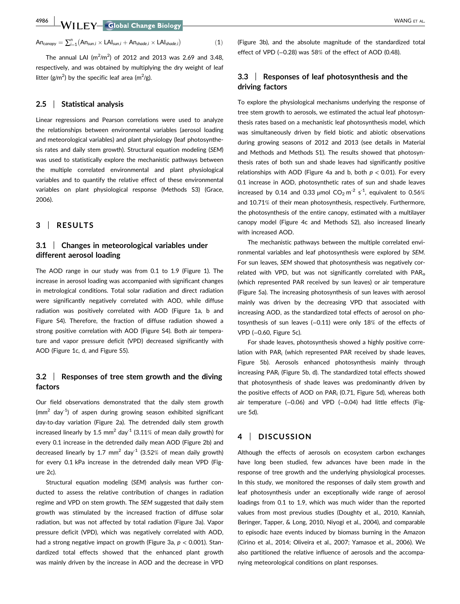$An_{canopy} = \sum_{i=1}^{n} (An_{sum,i} \times LAI_{sum,i} + An_{shade,i} \times LAI_{shade,i})$  (1)

The annual LAI ( $m^2/m^2$ ) of 2012 and 2013 was 2.69 and 3.48, respectively, and was obtained by multiplying the dry weight of leaf litter ( $g/m^2$ ) by the specific leaf area (m<sup>2</sup>/g).

#### **2.5** | **Statistical analysis**

Linear regressions and Pearson correlations were used to analyze the relationships between environmental variables (aerosol loading and meteorological variables) and plant physiology (leaf photosynthesis rates and daily stem growth). Structural equation modeling (*SEM*) was used to statistically explore the mechanistic pathways between the multiple correlated environmental and plant physiological variables and to quantify the relative effect of these environmental variables on plant physiological response (Methods S3) (Grace, 2006).

# **3** | **RESULTS**

### **3.1** | **Changes in meteorological variables under different aerosol loading**

The AOD range in our study was from 0.1 to 1.9 (Figure 1). The increase in aerosol loading was accompanied with significant changes in metrological conditions. Total solar radiation and direct radiation were significantly negatively correlated with AOD, while diffuse radiation was positively correlated with AOD (Figure 1a, b and Figure S4). Therefore, the fraction of diffuse radiation showed a strong positive correlation with AOD (Figure S4). Both air temperature and vapor pressure deficit (VPD) decreased significantly with AOD (Figure 1c, d, and Figure S5).

# **3.2** | **Responses of tree stem growth and the diving factors**

Our field observations demonstrated that the daily stem growth (mm<sup>2</sup> day<sup>-1</sup>) of aspen during growing season exhibited significant day‐to‐day variation (Figure 2a). The detrended daily stem growth increased linearly by 1.5 mm<sup>2</sup> day<sup>-1</sup> (3.11% of mean daily growth) for every 0.1 increase in the detrended daily mean AOD (Figure 2b) and decreased linearly by 1.7 mm<sup>2</sup> day<sup>-1</sup> (3.52% of mean daily growth) for every 0.1 kPa increase in the detrended daily mean VPD (Figure 2c).

Structural equation modeling (*SEM*) analysis was further conducted to assess the relative contribution of changes in radiation regime and VPD on stem growth. The *SEM* suggested that daily stem growth was stimulated by the increased fraction of diffuse solar radiation, but was not affected by total radiation (Figure 3a). Vapor pressure deficit (VPD), which was negatively correlated with AOD, had a strong negative impact on growth (Figure 3a, *p* < 0.001). Standardized total effects showed that the enhanced plant growth was mainly driven by the increase in AOD and the decrease in VPD (Figure 3b), and the absolute magnitude of the standardized total effect of VPD (−0.28) was 58% of the effect of AOD (0.48).

# **3.3** | **Responses of leaf photosynthesis and the driving factors**

To explore the physiological mechanisms underlying the response of tree stem growth to aerosols, we estimated the actual leaf photosynthesis rates based on a mechanistic leaf photosynthesis model, which was simultaneously driven by field biotic and abiotic observations during growing seasons of 2012 and 2013 (see details in Material and Methods and Methods S1). The results showed that photosynthesis rates of both sun and shade leaves had significantly positive relationships with AOD (Figure 4a and b, both *p* < 0.01). For every 0.1 increase in AOD, photosynthetic rates of sun and shade leaves increased by 0.14 and 0.33  $\mu$ mol CO<sub>2</sub> m<sup>-2</sup> s<sup>-1</sup>, equivalent to 0.56% and 10.71% of their mean photosynthesis, respectively. Furthermore, the photosynthesis of the entire canopy, estimated with a multilayer canopy model (Figure 4c and Methods S2), also increased linearly with increased AOD.

The mechanistic pathways between the multiple correlated environmental variables and leaf photosynthesis were explored by *SEM*. For sun leaves, *SEM* showed that photosynthesis was negatively correlated with VPD, but was not significantly correlated with  $PAR<sub>o</sub>$ (which represented PAR received by sun leaves) or air temperature (Figure 5a). The increasing photosynthesis of sun leaves with aerosol mainly was driven by the decreasing VPD that associated with increasing AOD, as the standardized total effects of aerosol on photosynthesis of sun leaves (−0.11) were only 18% of the effects of VPD (−0.60, Figure 5c).

For shade leaves, photosynthesis showed a highly positive correlation with PAR<sub>i</sub> (which represented PAR received by shade leaves, Figure 5b). Aerosols enhanced photosynthesis mainly through increasing PARi (Figure 5b, d). The standardized total effects showed that photosynthesis of shade leaves was predominantly driven by the positive effects of AOD on PARi (0.71, Figure 5d), whereas both air temperature (-0.06) and VPD (-0.04) had little effects (Figure 5d).

# **4** | **DISCUSSION**

Although the effects of aerosols on ecosystem carbon exchanges have long been studied, few advances have been made in the response of tree growth and the underlying physiological processes. In this study, we monitored the responses of daily stem growth and leaf photosynthesis under an exceptionally wide range of aerosol loadings from 0.1 to 1.9, which was much wider than the reported values from most previous studies (Doughty et al., 2010, Kanniah, Beringer, Tapper, & Long, 2010, Niyogi et al., 2004), and comparable to episodic haze events induced by biomass burning in the Amazon (Cirino et al., 2014; Oliveira et al., 2007; Yamasoe et al., 2006). We also partitioned the relative influence of aerosols and the accompanying meteorological conditions on plant responses.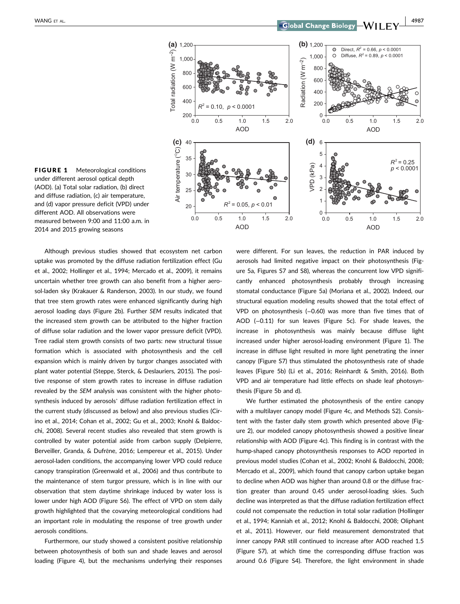

FIGURE 1 Meteorological conditions under different aerosol optical depth (AOD). (a) Total solar radiation, (b) direct and diffuse radiation, (c) air temperature, and (d) vapor pressure deficit (VPD) under different AOD. All observations were measured between 9:00 and 11:00 a.m. in 2014 and 2015 growing seasons

Although previous studies showed that ecosystem net carbon uptake was promoted by the diffuse radiation fertilization effect (Gu et al., 2002; Hollinger et al., 1994; Mercado et al., 2009), it remains uncertain whether tree growth can also benefit from a higher aerosol‐laden sky (Krakauer & Randerson, 2003). In our study, we found that tree stem growth rates were enhanced significantly during high aerosol loading days (Figure 2b). Further *SEM* results indicated that the increased stem growth can be attributed to the higher fraction of diffuse solar radiation and the lower vapor pressure deficit (VPD). Tree radial stem growth consists of two parts: new structural tissue formation which is associated with photosynthesis and the cell expansion which is mainly driven by turgor changes associated with plant water potential (Steppe, Sterck, & Deslauriers, 2015). The positive response of stem growth rates to increase in diffuse radiation revealed by the *SEM* analysis was consistent with the higher photosynthesis induced by aerosols' diffuse radiation fertilization effect in the current study (discussed as below) and also previous studies (Cirino et al., 2014; Cohan et al., 2002; Gu et al., 2003; Knohl & Baldocchi, 2008). Several recent studies also revealed that stem growth is controlled by water potential aside from carbon supply (Delpierre, Berveiller, Granda, & Dufrêne, 2016; Lempereur et al., 2015). Under aerosol‐laden conditions, the accompanying lower VPD could reduce canopy transpiration (Greenwald et al., 2006) and thus contribute to the maintenance of stem turgor pressure, which is in line with our observation that stem daytime shrinkage induced by water loss is lower under high AOD (Figure S6). The effect of VPD on stem daily growth highlighted that the covarying meteorological conditions had an important role in modulating the response of tree growth under aerosols conditions.

Furthermore, our study showed a consistent positive relationship between photosynthesis of both sun and shade leaves and aerosol loading (Figure 4), but the mechanisms underlying their responses were different. For sun leaves, the reduction in PAR induced by aerosols had limited negative impact on their photosynthesis (Figure 5a, Figures S7 and S8), whereas the concurrent low VPD significantly enhanced photosynthesis probably through increasing stomatal conductance (Figure 5a) (Moriana et al., 2002). Indeed, our structural equation modeling results showed that the total effect of VPD on photosynthesis (−0.60) was more than five times that of AOD (−0.11) for sun leaves (Figure 5c). For shade leaves, the increase in photosynthesis was mainly because diffuse light increased under higher aerosol‐loading environment (Figure 1). The increase in diffuse light resulted in more light penetrating the inner canopy (Figure S7) thus stimulated the photosynthesis rate of shade leaves (Figure 5b) (Li et al., 2016; Reinhardt & Smith, 2016). Both VPD and air temperature had little effects on shade leaf photosynthesis (Figure 5b and d).

We further estimated the photosynthesis of the entire canopy with a multilayer canopy model (Figure 4c, and Methods S2). Consistent with the faster daily stem growth which presented above (Figure 2), our modeled canopy photosynthesis showed a positive linear relationship with AOD (Figure 4c). This finding is in contrast with the hump-shaped canopy photosynthesis responses to AOD reported in previous model studies (Cohan et al., 2002; Knohl & Baldocchi, 2008; Mercado et al., 2009), which found that canopy carbon uptake began to decline when AOD was higher than around 0.8 or the diffuse fraction greater than around 0.45 under aerosol‐loading skies. Such decline was interpreted as that the diffuse radiation fertilization effect could not compensate the reduction in total solar radiation (Hollinger et al., 1994; Kanniah et al., 2012; Knohl & Baldocchi, 2008; Oliphant et al., 2011). However, our field measurement demonstrated that inner canopy PAR still continued to increase after AOD reached 1.5 (Figure S7), at which time the corresponding diffuse fraction was around 0.6 (Figure S4). Therefore, the light environment in shade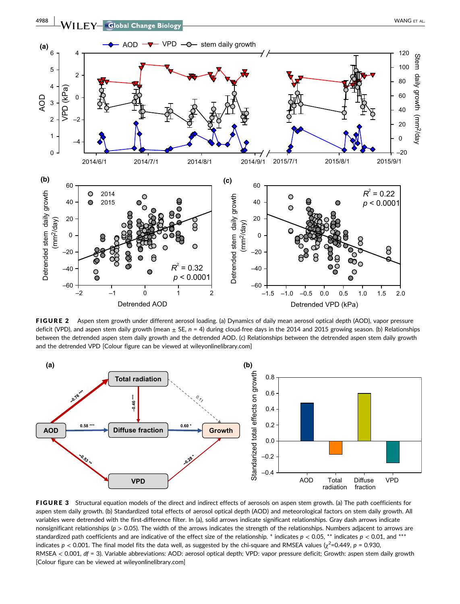

FIGURE 2 Aspen stem growth under different aerosol loading. (a) Dynamics of daily mean aerosol optical depth (AOD), vapor pressure deficit (VPD), and aspen stem daily growth (mean  $\pm$  SE, n = 4) during cloud-free days in the 2014 and 2015 growing season. (b) Relationships between the detrended aspen stem daily growth and the detrended AOD. (c) Relationships between the detrended aspen stem daily growth and the detrended VPD [Colour figure can be viewed at wileyonlinelibrary.com]



FIGURE 3 Structural equation models of the direct and indirect effects of aerosols on aspen stem growth. (a) The path coefficients for aspen stem daily growth. (b) Standardized total effects of aerosol optical depth (AOD) and meteorological factors on stem daily growth. All variables were detrended with the first‐difference filter. In (a), solid arrows indicate significant relationships. Gray dash arrows indicate nonsignificant relationships (*p* > 0.05). The width of the arrows indicates the strength of the relationships. Numbers adjacent to arrows are standardized path coefficients and are indicative of the effect size of the relationship. \* indicates  $p < 0.05$ , \*\* indicates  $p < 0.01$ , and \*\*\* indicates  $p < 0.001$ . The final model fits the data well, as suggested by the chi-square and RMSEA values ( $\chi^2$ =0.449,  $p = 0.930$ , RMSEA < 0.001, *df* = 3). Variable abbreviations: AOD: aerosol optical depth; VPD: vapor pressure deficit; Growth: aspen stem daily growth [Colour figure can be viewed at wileyonlinelibrary.com]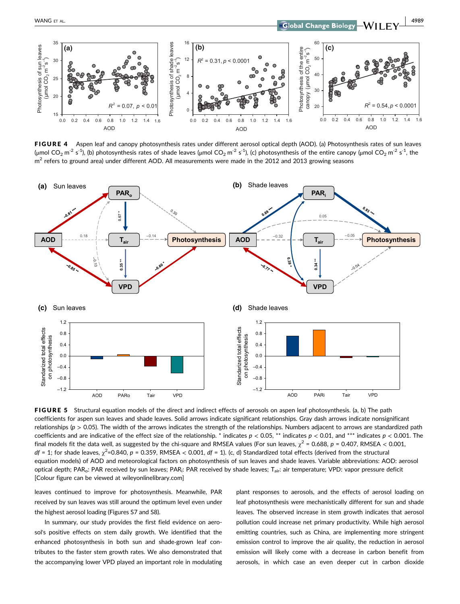

FIGURE 4 Aspen leaf and canopy photosynthesis rates under different aerosol optical depth (AOD). (a) Photosynthesis rates of sun leaves (µmol CO<sub>2</sub> m<sup>-2</sup> s<sup>-1</sup>), (b) photosynthesis rates of shade leaves (µmol CO<sub>2</sub> m<sup>-2</sup> s<sup>-1</sup>), (c) photosynthesis of the entire canopy (µmol CO<sub>2</sub> m<sup>-2</sup> s<sup>-1</sup>, the  $m<sup>2</sup>$  refers to ground area) under different AOD. All measurements were made in the 2012 and 2013 growing seasons



FIGURE 5 Structural equation models of the direct and indirect effects of aerosols on aspen leaf photosynthesis. (a, b) The path coefficients for aspen sun leaves and shade leaves. Solid arrows indicate significant relationships. Gray dash arrows indicate nonsignificant relationships (*p* > 0.05). The width of the arrows indicates the strength of the relationships. Numbers adjacent to arrows are standardized path coefficients and are indicative of the effect size of the relationship. \* indicates  $p < 0.05$ , \*\* indicates  $p < 0.01$ , and \*\*\* indicates  $p < 0.001$ . The final models fit the data well, as suggested by the chi-square and RMSEA values (For sun leaves,  $\chi^2$  = 0.688, p = 0.407, RMSEA < 0.001,  $df = 1$ ; for shade leaves,  $\chi^2$ =0.840,  $p = 0.359$ , RMSEA < 0.001,  $df = 1$ ). (c, d) Standardized total effects (derived from the structural equation models) of AOD and meteorological factors on photosynthesis of sun leaves and shade leaves. Variable abbreviations: AOD: aerosol optical depth; PAR<sub>o</sub>: PAR received by sun leaves; PAR<sub>i</sub>: PAR received by shade leaves; T<sub>air</sub>: air temperature; VPD: vapor pressure deficit [Colour figure can be viewed at wileyonlinelibrary.com]

leaves continued to improve for photosynthesis. Meanwhile, PAR received by sun leaves was still around the optimum level even under the highest aerosol loading (Figures S7 and S8).

In summary, our study provides the first field evidence on aerosol's positive effects on stem daily growth. We identified that the enhanced photosynthesis in both sun and shade‐grown leaf contributes to the faster stem growth rates. We also demonstrated that the accompanying lower VPD played an important role in modulating plant responses to aerosols, and the effects of aerosol loading on leaf photosynthesis were mechanistically different for sun and shade leaves. The observed increase in stem growth indicates that aerosol pollution could increase net primary productivity. While high aerosol emitting countries, such as China, are implementing more stringent emission control to improve the air quality, the reduction in aerosol emission will likely come with a decrease in carbon benefit from aerosols, in which case an even deeper cut in carbon dioxide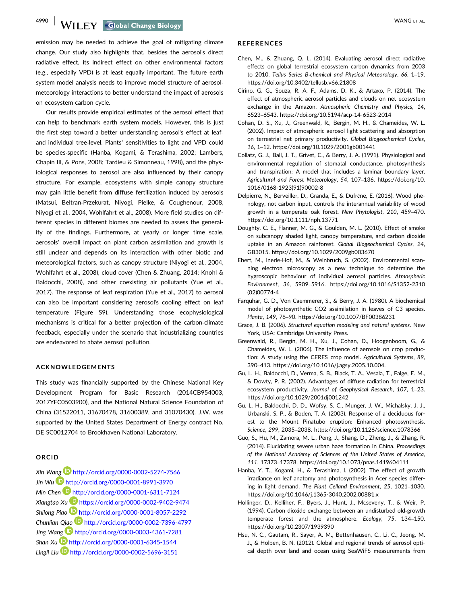**4990 | WANGET AL.** WANGET AL.

emission may be needed to achieve the goal of mitigating climate change. Our study also highlights that, besides the aerosol's direct radiative effect, its indirect effect on other environmental factors (e.g., especially VPD) is at least equally important. The future earth system model analysis needs to improve model structure of aerosol‐ meteorology interactions to better understand the impact of aerosols on ecosystem carbon cycle.

Our results provide empirical estimates of the aerosol effect that can help to benchmark earth system models. However, this is just the first step toward a better understanding aerosol's effect at leaf‐ and individual tree‐level. Plants' sensitivities to light and VPD could be species‐specific (Hanba, Kogami, & Terashima, 2002; Lambers, Chapin III, & Pons, 2008; Tardieu & Simonneau, 1998), and the physiological responses to aerosol are also influenced by their canopy structure. For example, ecosystems with simple canopy structure may gain little benefit from diffuse fertilization induced by aerosols (Matsui, Beltran‐Przekurat, Niyogi, Pielke, & Coughenour, 2008, Niyogi et al., 2004, Wohlfahrt et al., 2008). More field studies on different species in different biomes are needed to assess the generality of the findings. Furthermore, at yearly or longer time scale, aerosols' overall impact on plant carbon assimilation and growth is still unclear and depends on its interaction with other biotic and meteorological factors, such as canopy structure (Niyogi et al., 2004, Wohlfahrt et al., 2008), cloud cover (Chen & Zhuang, 2014; Knohl & Baldocchi, 2008), and other coexisting air pollutants (Yue et al., 2017). The response of leaf respiration (Yue et al., 2017) to aerosol can also be important considering aerosol's cooling effect on leaf temperature (Figure S9). Understanding those ecophysiological mechanisms is critical for a better projection of the carbon‐climate feedback, especially under the scenario that industrializing countries are endeavored to abate aerosol pollution.

#### **ACKNOWLEDGEMENTS**

This study was financially supported by the Chinese National Key Development Program for Basic Research (2014CB954003, 2017YFC0503900), and the National Natural Science Foundation of China (31522011, 31670478, 31600389, and 31070430). J.W. was supported by the United States Department of Energy contract No. DE‐SC0012704 to Brookhaven National Laboratory.

#### **ORCID**

*Xin Wang* http://orcid.org/0000-0002-5274-7566 *Jin Wu* http://orcid.org/0000-0001-8991-3970 *Min Chen* http://orcid.org/0000-0001-6311-7124 *Xiangtao Xu* https://orcid.org/0000-0002-9402-9474 *Shilong Piao* http://orcid.org/0000-0001-8057-2292 *Chunlian Qiao* http://orcid.org/0000-0002-7396-4797 *Jing Wang* http://orcid.org/0000-0003-4361-7281 *Shan Xu* http://orcid.org/0000-0001-6345-1544 *Lingli Liu* http://orcid.org/0000-0002-5696-3151

#### **REFERENCES**

- Chen, M., & Zhuang, Q. L. (2014). Evaluating aerosol direct radiative effects on global terrestrial ecosystem carbon dynamics from 2003 to 2010. *Tellus Series B‐chemical and Physical Meteorology*, *66*, 1–19. <https://doi.org/10.3402/tellusb.v66.21808>
- Cirino, G. G., Souza, R. A. F., Adams, D. K., & Artaxo, P. (2014). The effect of atmospheric aerosol particles and clouds on net ecosystem exchange in the Amazon. *Atmospheric Chemistry and Physics*, *14*, 6523–6543.<https://doi.org/10.5194/acp-14-6523-2014>
- Cohan, D. S., Xu, J., Greenwald, R., Bergin, M. H., & Chameides, W. L. (2002). Impact of atmospheric aerosol light scattering and absorption on terrestrial net primary productivity. *Global Biogeochemical Cycles*, *16*, 1–12.<https://doi.org/10.1029/2001gb001441>
- Collatz, G. J., Ball, J. T., Grivet, C., & Berry, J. A. (1991). Physiological and environmental regulation of stomatal conductance, photosynthesis and transpiration: A model that includes a laminar boundary layer. *Agricultural and Forest Meteorology*, *54*, 107–136. [https://doi.org/10.](https://doi.org/10.1016/0168-1923(91)90002-8) [1016/0168-1923\(91\)90002-8](https://doi.org/10.1016/0168-1923(91)90002-8)
- Delpierre, N., Berveiller, D., Granda, E., & Dufrêne, E. (2016). Wood phenology, not carbon input, controls the interannual variability of wood growth in a temperate oak forest. *New Phytologist*, *210*, 459–470. <https://doi.org/10.1111/nph.13771>
- Doughty, C. E., Flanner, M. G., & Goulden, M. L. (2010). Effect of smoke on subcanopy shaded light, canopy temperature, and carbon dioxide uptake in an Amazon rainforest. *Global Biogeochemical Cycles*, *24*, GB3015.<https://doi.org/10.1029/2009gb003670>
- Ebert, M., Inerle‐Hof, M., & Weinbruch, S. (2002). Environmental scanning electron microscopy as a new technique to determine the hygroscopic behaviour of individual aerosol particles. *Atmospheric Environment*, *36*, 5909–5916. [https://doi.org/10.1016/S1352-2310](https://doi.org/10.1016/S1352-2310(02)00774-4) [\(02\)00774-4](https://doi.org/10.1016/S1352-2310(02)00774-4)
- Farquhar, G. D., Von Caemmerer, S., & Berry, J. A. (1980). A biochemical model of photosynthetic CO2 assimilation in leaves of C3 species. *Planta*, *149*, 78–90.<https://doi.org/10.1007/BF00386231>
- Grace, J. B. (2006). *Structural equation modeling and natural systems*. New York, USA: Cambridge University Press.
- Greenwald, R., Bergin, M. H., Xu, J., Cohan, D., Hoogenboom, G., & Chameides, W. L. (2006). The influence of aerosols on crop production: A study using the CERES crop model. *Agricultural Systems*, *89*, 390–413. [https://doi.org/10.1016/j.agsy.2005.10.004.](https://doi.org/10.1016/j.agsy.2005.10.004)
- Gu, L. H., Baldocchi, D., Verma, S. B., Black, T. A., Vesala, T., Falge, E. M., & Dowty, P. R. (2002). Advantages of diffuse radiation for terrestrial ecosystem productivity. *Journal of Geophysical Research*, *107*, 1–23. <https://doi.org/10.1029/2001dj001242>
- Gu, L. H., Baldocchi, D. D., Wofsy, S. C., Munger, J. W., Michalsky, J. J., Urbanski, S. P., & Boden, T. A. (2003). Response of a deciduous forest to the Mount Pinatubo eruption: Enhanced photosynthesis. *Science*, *299*, 2035–2038.<https://doi.org/10.1126/science.1078366>
- Guo, S., Hu, M., Zamora, M. L., Peng, J., Shang, D., Zheng, J., & Zhang, R. (2014). Elucidating severe urban haze formation in China. *Proceedings of the National Academy of Sciences of the United States of America*, *111*, 17373–17378.<https://doi.org/10.1073/pnas.1419604111>
- Hanba, Y. T., Kogami, H., & Terashima, I. (2002). The effect of growth irradiance on leaf anatomy and photosynthesis in Acer species differing in light demand. *The Plant Celland Environment*, *25*, 1021–1030. <https://doi.org/10.1046/j.1365-3040.2002.00881.x>
- Hollinger, D., Kelliher, F., Byers, J., Hunt, J., Mcseveny, T., & Weir, P. (1994). Carbon dioxide exchange between an undisturbed old‐growth temperate forest and the atmosphere. *Ecology*, *75*, 134–150. <https://doi.org/10.2307/1939390>
- Hsu, N. C., Gautam, R., Sayer, A. M., Bettenhausen, C., Li, C., Jeong, M. J., & Holben, B. N. (2012). Global and regional trends of aerosol optical depth over land and ocean using SeaWiFS measurements from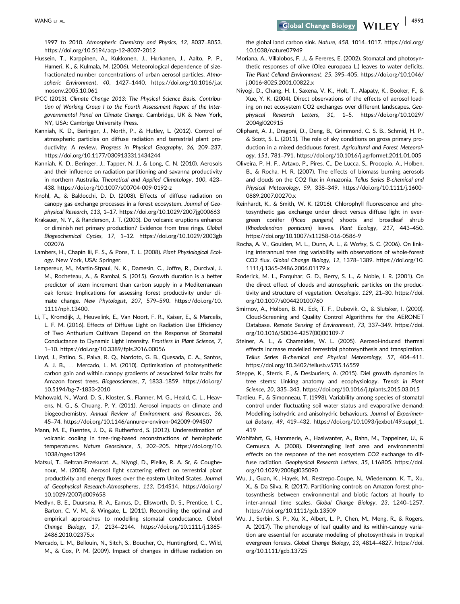1997 to 2010. *Atmospheric Chemistry and Physics*, *12*, 8037–8053. <https://doi.org/10.5194/acp-12-8037-2012>

- Hussein, T., Karppinen, A., Kukkonen, J., Härkönen, J., Aalto, P. P., Hämeri, K., & Kulmala, M. (2006). Meteorological dependence of size‐ fractionated number concentrations of urban aerosol particles. *Atmospheric Environment*, *40*, 1427–1440. [https://doi.org/10.1016/j.at](https://doi.org/10.1016/j.atmosenv.2005.10.061) [mosenv.2005.10.061](https://doi.org/10.1016/j.atmosenv.2005.10.061)
- IPCC (2013). *Climate Change 2013: The Physical Science Basis. Contribution of Working Group I to the Fourth Assessment Report of the Intergovernmental Panel on Climate Change*. Cambridge, UK & New York, NY, USA: Cambrige University Press.
- Kanniah, K. D., Beringer, J., North, P., & Hutley, L. (2012). Control of atmospheric particles on diffuse radiation and terrestrial plant productivity: A review. *Progress in Physical Geography*, *36*, 209–237. <https://doi.org/10.1177/0309133311434244>
- Kanniah, K. D., Beringer, J., Tapper, N. J., & Long, C. N. (2010). Aerosols and their influence on radiation partitioning and savanna productivity in northern Australia. *Theoretical and Applied Climatology*, *100*, 423– 438.<https://doi.org/10.1007/s00704-009-0192-z>
- Knohl, A., & Baldocchi, D. D. (2008). Effects of diffuse radiation on canopy gas exchange processes in a forest ecosystem. *Journal of Geophysical Research*, *113*, 1–17.<https://doi.org/10.1029/2007jg000663>
- Krakauer, N. Y., & Randerson, J. T. (2003). Do volcanic eruptions enhance or diminish net primary production? Evidence from tree rings. *Global Biogeochemical Cycles*, *17*, 1–12. [https://doi.org/10.1029/2003gb](https://doi.org/10.1029/2003gb002076) [002076](https://doi.org/10.1029/2003gb002076)
- Lambers, H., Chapin Iii, F. S., & Pons, T. L. (2008). *Plant Physiological Ecology*. New York, USA: Springer.
- Lempereur, M., Martin‐Stpaul, N. K., Damesin, C., Joffre, R., Ourcival, J. M., Rocheteau, A., & Rambal, S. (2015). Growth duration is a better predictor of stem increment than carbon supply in a Mediterranean oak forest: Implications for assessing forest productivity under climate change. *New Phytologist*, *207*, 579–590. [https://doi.org/10.](https://doi.org/10.1111/nph.13400) [1111/nph.13400](https://doi.org/10.1111/nph.13400).
- Li, T., Kromdijk, J., Heuvelink, E., Van Noort, F. R., Kaiser, E., & Marcelis, L. F. M. (2016). Effects of Diffuse Light on Radiation Use Efficiency of Two Anthurium Cultivars Depend on the Response of Stomatal Conductance to Dynamic Light Intensity. *Frontiers in Plant Science*, *7*, 1–10.<https://doi.org/10.3389/fpls.2016.00056>
- Lloyd, J., Patino, S., Paiva, R. Q., Nardoto, G. B., Quesada, C. A., Santos, A. J. B., … Mercado, L. M. (2010). Optimisation of photosynthetic carbon gain and within‐canopy gradients of associated foliar traits for Amazon forest trees. *Biogeosciences*, *7*, 1833–1859. [https://doi.org/](https://doi.org/10.5194/bg-7-1833-2010) [10.5194/bg-7-1833-2010](https://doi.org/10.5194/bg-7-1833-2010)
- Mahowald, N., Ward, D. S., Kloster, S., Flanner, M. G., Heald, C. L., Heavens, N. G., & Chuang, P. Y. (2011). Aerosol impacts on climate and biogeochemistry. *Annual Review of Environment and Resources*, *36*, 45–74.<https://doi.org/10.1146/annurev-environ-042009-094507>
- Mann, M. E., Fuentes, J. D., & Rutherford, S. (2012). Underestimation of volcanic cooling in tree‐ring‐based reconstructions of hemispheric temperatures. *Nature Geoscience*, *5*, 202–205. [https://doi.org/10.](https://doi.org/10.1038/ngeo1394) [1038/ngeo1394](https://doi.org/10.1038/ngeo1394)
- Matsui, T., Beltran‐Przekurat, A., Niyogi, D., Pielke, R. A. Sr, & Coughenour, M. (2008). Aerosol light scattering effect on terrestrial plant productivity and energy fluxes over the eastern United States. *Journal of Geophysical Research‐Atmospheres*, *113*, D14S14. [https://doi.org/](https://doi.org/10.1029/2007jd009658) [10.1029/2007jd009658](https://doi.org/10.1029/2007jd009658)
- Medlyn, B. E., Duursma, R. A., Eamus, D., Ellsworth, D. S., Prentice, I. C., Barton, C. V. M., & Wingate, L. (2011). Reconciling the optimal and empirical approaches to modelling stomatal conductance. *Global Change Biology*, *17*, 2134–2144. [https://doi.org/10.1111/j.1365-](https://doi.org/10.1111/j.1365-2486.2010.02375.x) [2486.2010.02375.x](https://doi.org/10.1111/j.1365-2486.2010.02375.x)
- Mercado, L. M., Bellouin, N., Sitch, S., Boucher, O., Huntingford, C., Wild, M., & Cox, P. M. (2009). Impact of changes in diffuse radiation on

the global land carbon sink. *Nature*, *458*, 1014–1017. [https://doi.org/](https://doi.org/10.1038/nature07949) [10.1038/nature07949](https://doi.org/10.1038/nature07949)

- Moriana, A., Villalobos, F. J., & Fereres, E. (2002). Stomatal and photosynthetic responses of olive (Olea europaea L.) leaves to water deficits. *The Plant Celland Environment*, *25*, 395–405. [https://doi.org/10.1046/](https://doi.org/10.1046/j.0016-8025.2001.00822.x) [j.0016-8025.2001.00822.x](https://doi.org/10.1046/j.0016-8025.2001.00822.x)
- Niyogi, D., Chang, H. I., Saxena, V. K., Holt, T., Alapaty, K., Booker, F., & Xue, Y. K. (2004). Direct observations of the effects of aerosol loading on net ecosystem CO2 exchanges over different landscapes. *Geophysical Research Letters*, *31*, 1–5. [https://doi.org/10.1029/](https://doi.org/10.1029/2004gl020915) [2004gl020915](https://doi.org/10.1029/2004gl020915)
- Oliphant, A. J., Dragoni, D., Deng, B., Grimmond, C. S. B., Schmid, H. P., & Scott, S. L. (2011). The role of sky conditions on gross primary production in a mixed deciduous forest. *Agricultural and Forest Meteorology*, *151*, 781–791.<https://doi.org/10.1016/j.agrformet.2011.01.005>
- Oliveira, P. H. F., Artaxo, P., Pires, C., De Lucca, S., Procopio, A., Holben, B., & Rocha, H. R. (2007). The effects of biomass burning aerosols and clouds on the CO2 flux in Amazonia. *Tellus Series B‐chemical and Physical Meteorology*, *59*, 338–349. [https://doi.org/10.1111/j.1600-](https://doi.org/10.1111/j.1600-0889.2007.00270.x) [0889.2007.00270.x](https://doi.org/10.1111/j.1600-0889.2007.00270.x)
- Reinhardt, K., & Smith, W. K. (2016). Chlorophyll fluorescence and photosynthetic gas exchange under direct versus diffuse light in evergreen conifer (*Picea pungens*) shoots and broadleaf shrub (*Rhododendron ponticum*) leaves. *Plant Ecology*, *217*, 443–450. <https://doi.org/10.1007/s11258-016-0586-9>
- Rocha, A. V., Goulden, M. L., Dunn, A. L., & Wofsy, S. C. (2006). On linking interannual tree ring variability with observations of whole‐forest CO2 flux. *Global Change Biology*, *12*, 1378–1389. [https://doi.org/10.](https://doi.org/10.1111/j.1365-2486.2006.01179.x) [1111/j.1365-2486.2006.01179.x](https://doi.org/10.1111/j.1365-2486.2006.01179.x)
- Roderick, M. L., Farquhar, G. D., Berry, S. L., & Noble, I. R. (2001). On the direct effect of clouds and atmospheric particles on the productivity and structure of vegetation. *Oecologia*, *129*, 21–30. [https://doi.](https://doi.org/10.1007/s004420100760) [org/10.1007/s004420100760](https://doi.org/10.1007/s004420100760)
- Smirnov, A., Holben, B. N., Eck, T. F., Dubovik, O., & Slutsker, I. (2000). Cloud‐Screening and Quality Control Algorithms for the AERONET Database. *Remote Sensing of Environment*, *73*, 337–349. [https://doi.](https://doi.org/10.1016/S0034-4257(00)00109-7) [org/10.1016/S0034-4257\(00\)00109-7](https://doi.org/10.1016/S0034-4257(00)00109-7)
- Steiner, A. L., & Chameides, W. L. (2005). Aerosol-induced thermal effects increase modelled terrestrial photosynthesis and transpiration. *Tellus Series B‐chemical and Physical Meteorology*, *57*, 404–411. <https://doi.org/10.3402/tellusb.v57i5.16559>
- Steppe, K., Sterck, F., & Deslauriers, A. (2015). Diel growth dynamics in tree stems: Linking anatomy and ecophysiology. *Trends in Plant Science*, *20*, 335–343.<https://doi.org/10.1016/j.tplants.2015.03.015>
- Tardieu, F., & Simonneau, T. (1998). Variability among species of stomatal control under fluctuating soil water status and evaporative demand: Modelling isohydric and anisohydric behaviours. *Journal of Experimental Botany*, *49*, 419–432. [https://doi.org/10.1093/jexbot/49.suppl\\_1.](https://doi.org/10.1093/jexbot/49.suppl_1.419) [419](https://doi.org/10.1093/jexbot/49.suppl_1.419)
- Wohlfahrt, G., Hammerle, A., Haslwanter, A., Bahn, M., Tappeiner, U., & Cernusca, A. (2008). Disentangling leaf area and environmental effects on the response of the net ecosystem CO2 exchange to diffuse radiation. *Geophysical Research Letters*, *35*, L16805. [https://doi.](https://doi.org/10.1029/2008gl035090) [org/10.1029/2008gl035090](https://doi.org/10.1029/2008gl035090)
- Wu, J., Guan, K., Hayek, M., Restrepo‐Coupe, N., Wiedemann, K. T., Xu, X., & Da Silva, R. (2017). Partitioning controls on Amazon forest photosynthesis between environmental and biotic factors at hourly to inter‐annual time scales. *Global Change Biology*, *23*, 1240–1257. <https://doi.org/10.1111/gcb.13509>
- Wu, J., Serbin, S. P., Xu, X., Albert, L. P., Chen, M., Meng, R., & Rogers, A. (2017). The phenology of leaf quality and its within‐canopy variation are essential for accurate modeling of photosynthesis in tropical evergreen forests. *Global Change Biology*, *23*, 4814–4827. [https://doi.](https://doi.org/10.1111/gcb.13725) [org/10.1111/gcb.13725](https://doi.org/10.1111/gcb.13725)